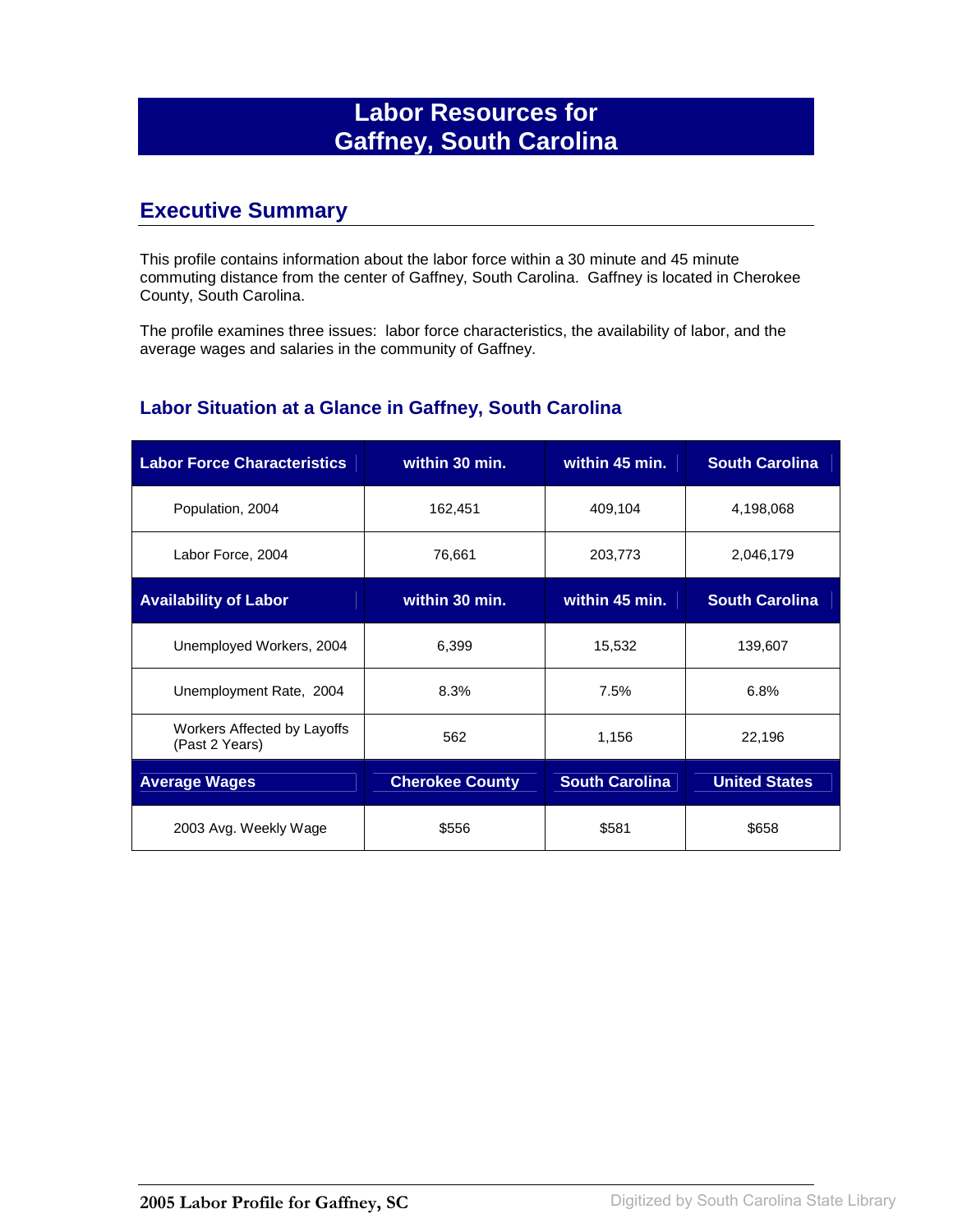# **Labor Resources for Gaffney, South Carolina**

## **Executive Summary**

This profile contains information about the labor force within a 30 minute and 45 minute commuting distance from the center of Gaffney, South Carolina. Gaffney is located in Cherokee County, South Carolina.

The profile examines three issues: labor force characteristics, the availability of labor, and the average wages and salaries in the community of Gaffney.

#### **Labor Situation at a Glance in Gaffney, South Carolina**

| <b>Labor Force Characteristics</b>            | within 30 min.         | within 45 min.        | <b>South Carolina</b> |
|-----------------------------------------------|------------------------|-----------------------|-----------------------|
| Population, 2004                              | 162,451                | 409,104               | 4,198,068             |
| Labor Force, 2004                             | 76,661                 | 203,773               | 2,046,179             |
| <b>Availability of Labor</b>                  | within 30 min.         | within 45 min.        | <b>South Carolina</b> |
| Unemployed Workers, 2004                      | 6,399                  | 15,532                | 139,607               |
| Unemployment Rate, 2004                       | 8.3%                   | 7.5%                  | 6.8%                  |
| Workers Affected by Layoffs<br>(Past 2 Years) | 562                    | 1,156                 | 22,196                |
| <b>Average Wages</b>                          | <b>Cherokee County</b> | <b>South Carolina</b> | <b>United States</b>  |
| 2003 Avg. Weekly Wage                         | \$556                  | \$581                 | \$658                 |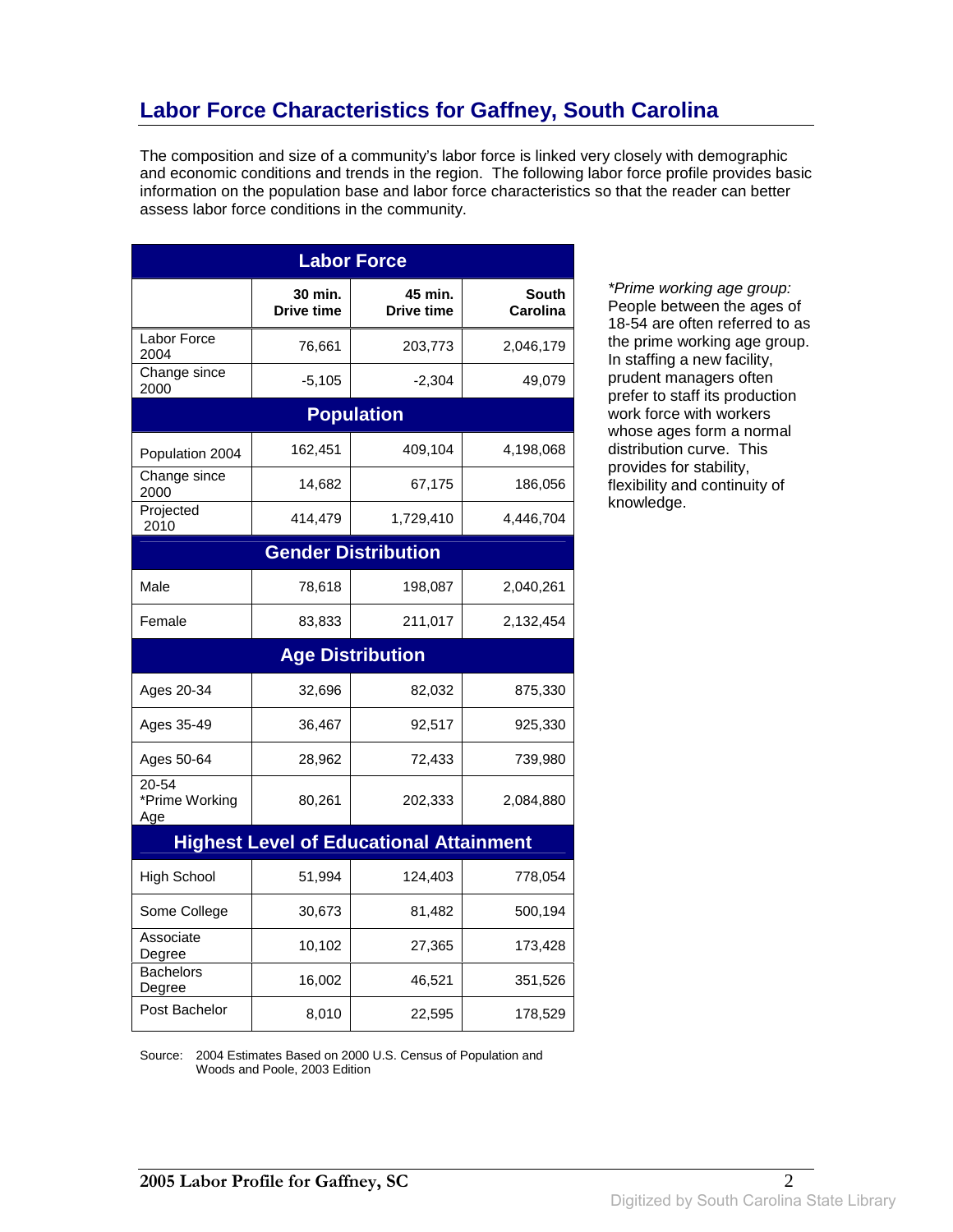# **Labor Force Characteristics for Gaffney, South Carolina**

The composition and size of a community's labor force is linked very closely with demographic and economic conditions and trends in the region. The following labor force profile provides basic information on the population base and labor force characteristics so that the reader can better assess labor force conditions in the community.

| <b>Labor Force</b>             |                              |                                                |                          |  |
|--------------------------------|------------------------------|------------------------------------------------|--------------------------|--|
|                                | 30 min.<br><b>Drive time</b> | 45 min.<br>Drive time                          | <b>South</b><br>Carolina |  |
| Labor Force<br>2004            | 76,661                       | 203,773                                        | 2,046,179                |  |
| Change since<br>2000           | $-5,105$                     | $-2,304$                                       | 49,079                   |  |
|                                |                              | <b>Population</b>                              |                          |  |
| Population 2004                | 162,451                      | 409,104                                        | 4,198,068                |  |
| Change since<br>2000           | 14,682                       | 67,175                                         | 186,056                  |  |
| Projected<br>2010              | 414,479                      | 1,729,410                                      | 4,446,704                |  |
|                                |                              | <b>Gender Distribution</b>                     |                          |  |
| Male                           | 78,618                       | 198,087                                        | 2,040,261                |  |
| Female                         | 83,833                       | 211,017                                        | 2,132,454                |  |
|                                |                              | <b>Age Distribution</b>                        |                          |  |
| Ages 20-34                     | 32,696                       | 82,032                                         | 875,330                  |  |
| Ages 35-49                     | 36,467                       | 92,517                                         | 925,330                  |  |
| Ages 50-64                     | 28,962                       | 72,433                                         | 739,980                  |  |
| 20-54<br>*Prime Working<br>Age | 80,261                       | 202,333                                        | 2,084,880                |  |
|                                |                              | <b>Highest Level of Educational Attainment</b> |                          |  |
|                                |                              |                                                |                          |  |
| <b>High School</b>             | 51,994                       | 124,403                                        | 778,054                  |  |
| Some College                   | 30,673                       | 81,482                                         | 500,194                  |  |
| Associate<br>Degree            | 10,102                       | 27,365                                         | 173,428                  |  |
| <b>Bachelors</b><br>Degree     | 16,002                       | 46,521                                         | 351,526                  |  |

\*Prime working age group: People between the ages of 18-54 are often referred to as the prime working age group. In staffing a new facility, prudent managers often prefer to staff its production work force with workers whose ages form a normal distribution curve. This provides for stability, flexibility and continuity of knowledge.

Source: 2004 Estimates Based on 2000 U.S. Census of Population and Woods and Poole, 2003 Edition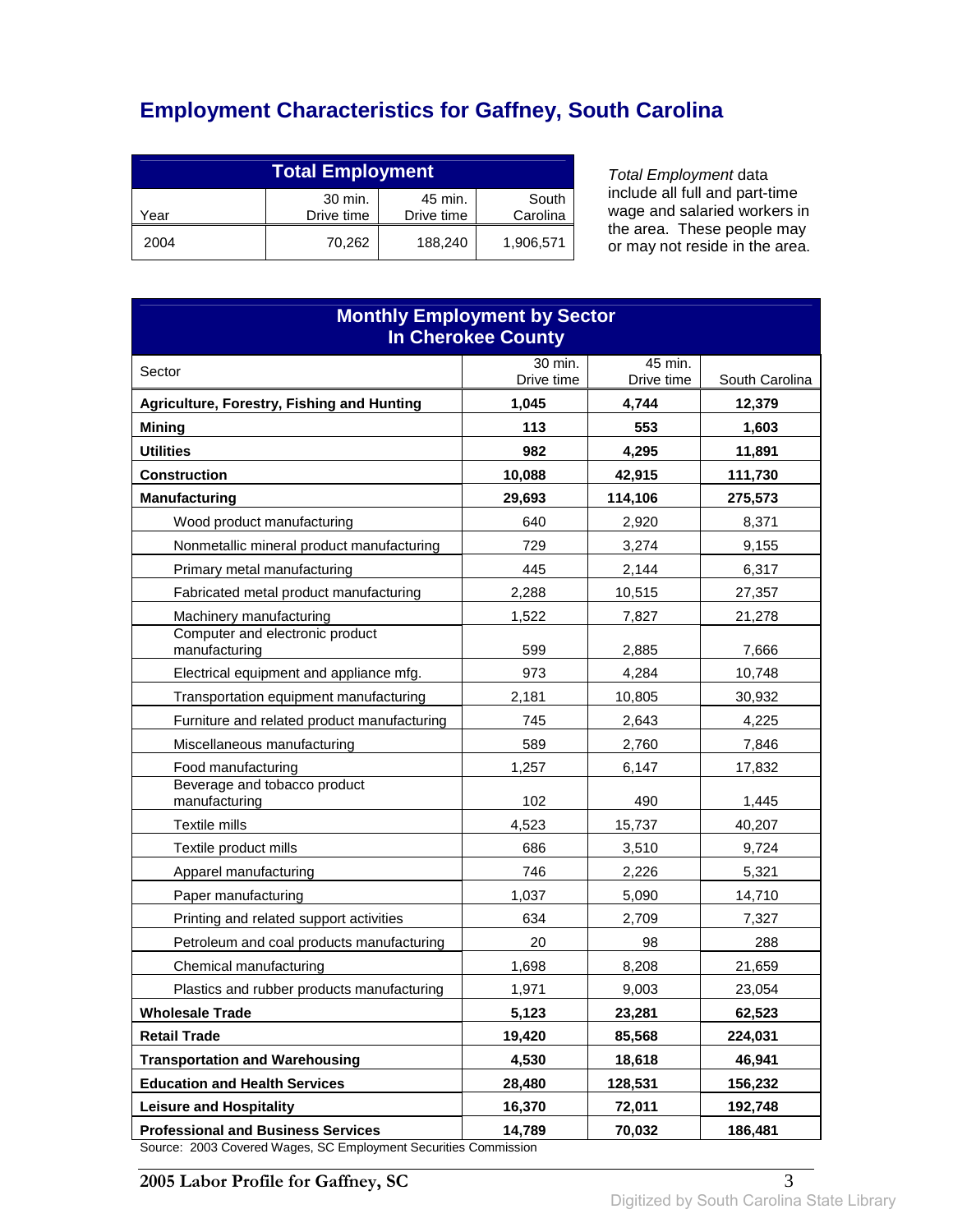# **Employment Characteristics for Gaffney, South Carolina**

| <b>Total Employment</b>                                                     |        |         |           |
|-----------------------------------------------------------------------------|--------|---------|-----------|
| 30 min.<br>South<br>45 min.<br>Drive time<br>Carolina<br>Drive time<br>Year |        |         |           |
| 2004                                                                        | 70.262 | 188,240 | 1,906,571 |

Total Employment data include all full and part-time wage and salaried workers in the area. These people may or may not reside in the area.

| <b>Monthly Employment by Sector</b><br><b>In Cherokee County</b>                  |              |              |                 |  |
|-----------------------------------------------------------------------------------|--------------|--------------|-----------------|--|
| Sector                                                                            | 30 min.      | 45 min.      |                 |  |
| Agriculture, Forestry, Fishing and Hunting                                        | Drive time   | Drive time   | South Carolina  |  |
| <b>Mining</b>                                                                     | 1,045<br>113 | 4,744<br>553 | 12,379<br>1,603 |  |
| <b>Utilities</b>                                                                  | 982          | 4,295        | 11,891          |  |
| <b>Construction</b>                                                               | 10,088       | 42,915       | 111,730         |  |
| <b>Manufacturing</b>                                                              | 29.693       | 114,106      | 275,573         |  |
| Wood product manufacturing                                                        | 640          | 2.920        | 8,371           |  |
| Nonmetallic mineral product manufacturing                                         | 729          | 3,274        | 9,155           |  |
| Primary metal manufacturing                                                       | 445          | 2,144        | 6,317           |  |
| Fabricated metal product manufacturing                                            | 2,288        | 10,515       | 27,357          |  |
| Machinery manufacturing                                                           | 1,522        | 7,827        | 21,278          |  |
| Computer and electronic product<br>manufacturing                                  | 599          | 2,885        | 7,666           |  |
| Electrical equipment and appliance mfg.                                           | 973          | 4,284        | 10,748          |  |
| Transportation equipment manufacturing                                            | 2,181        | 10,805       | 30,932          |  |
| Furniture and related product manufacturing                                       | 745          | 2,643        | 4,225           |  |
| Miscellaneous manufacturing                                                       | 589          | 2,760        | 7,846           |  |
| Food manufacturing                                                                | 1,257        | 6,147        | 17,832          |  |
| Beverage and tobacco product<br>manufacturing                                     | 102          | 490          | 1,445           |  |
| Textile mills                                                                     | 4,523        | 15,737       | 40,207          |  |
| Textile product mills                                                             | 686          | 3,510        | 9,724           |  |
| Apparel manufacturing                                                             | 746          | 2,226        | 5,321           |  |
| Paper manufacturing                                                               | 1,037        | 5,090        | 14,710          |  |
| Printing and related support activities                                           | 634          | 2,709        | 7,327           |  |
| Petroleum and coal products manufacturing                                         | 20           | 98           | 288             |  |
| Chemical manufacturing                                                            | 1,698        | 8,208        | 21,659          |  |
| Plastics and rubber products manufacturing                                        | 1,971        | 9,003        | 23,054          |  |
| <b>Wholesale Trade</b>                                                            | 5,123        | 23,281       | 62,523          |  |
| <b>Retail Trade</b>                                                               | 19,420       | 85,568       | 224,031         |  |
| <b>Transportation and Warehousing</b>                                             | 4,530        | 18,618       | 46,941          |  |
| <b>Education and Health Services</b>                                              | 28,480       | 128,531      | 156,232         |  |
| <b>Leisure and Hospitality</b>                                                    | 16,370       | 72,011       | 192,748         |  |
| <b>Professional and Business Services</b><br>2002 Covered Wages, CC Employment Co | 14,789       | 70,032       | 186,481         |  |

Source: 2003 Covered Wages, SC Employment Securities Commission

**2005 Labor Profile for Gaffney, SC** 3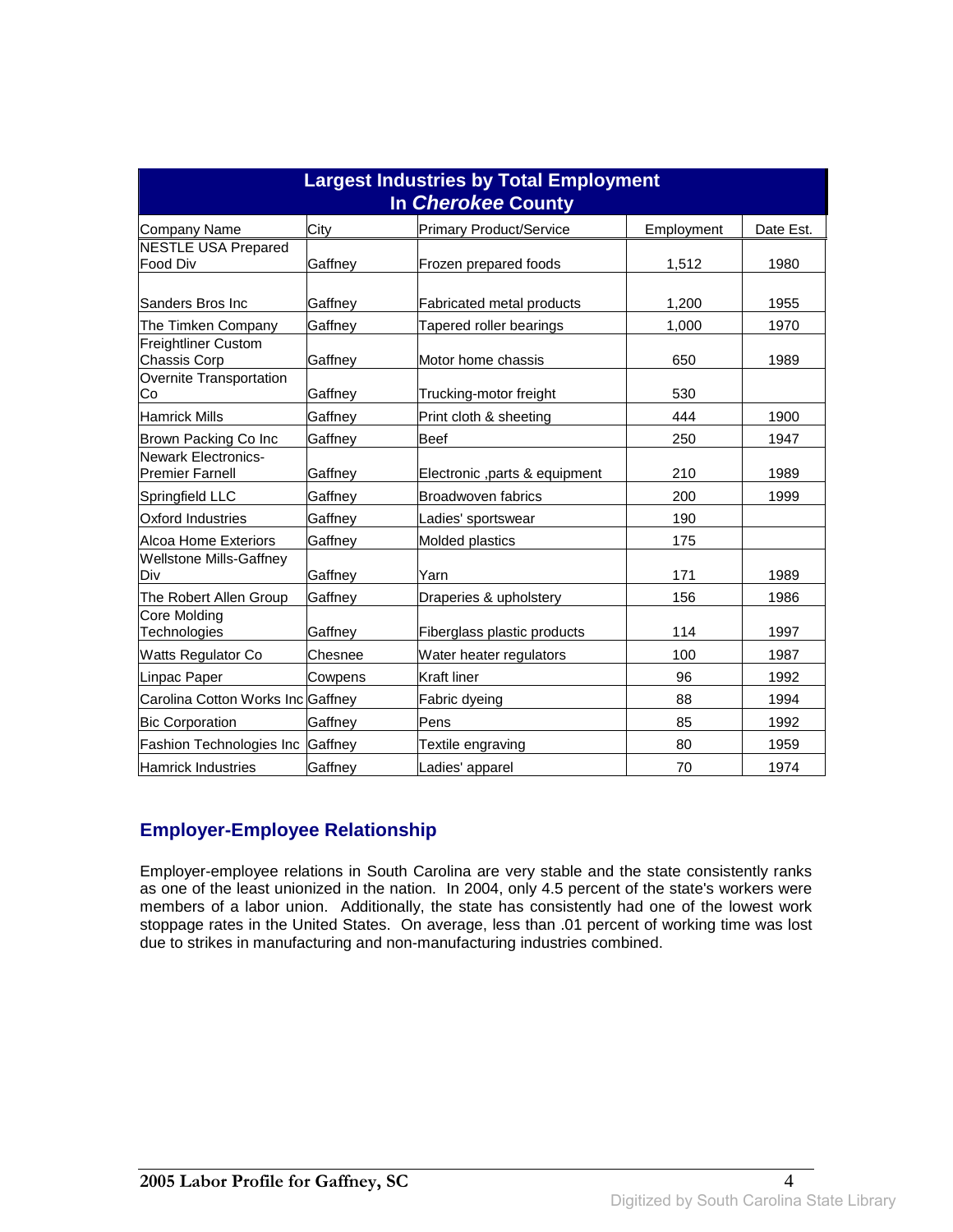| <b>Largest Industries by Total Employment</b><br>In Cherokee County |         |                                |            |           |
|---------------------------------------------------------------------|---------|--------------------------------|------------|-----------|
| Company Name                                                        | City    | <b>Primary Product/Service</b> | Employment | Date Est. |
| <b>NESTLE USA Prepared</b><br><b>Food Div</b>                       | Gaffney | Frozen prepared foods          | 1,512      | 1980      |
| Sanders Bros Inc                                                    | Gaffney | Fabricated metal products      | 1,200      | 1955      |
| The Timken Company                                                  | Gaffney | Tapered roller bearings        | 1,000      | 1970      |
| <b>Freightliner Custom</b><br><b>Chassis Corp</b>                   | Gaffney | Motor home chassis             | 650        | 1989      |
| Overnite Transportation<br>Co                                       | Gaffney | Trucking-motor freight         | 530        |           |
| <b>Hamrick Mills</b>                                                | Gaffney | Print cloth & sheeting         | 444        | 1900      |
| Brown Packing Co Inc                                                | Gaffney | <b>Beef</b>                    | 250        | 1947      |
| <b>Newark Electronics-</b><br><b>Premier Farnell</b>                | Gaffney | Electronic , parts & equipment | 210        | 1989      |
| Springfield LLC                                                     | Gaffney | Broadwoven fabrics             | 200        | 1999      |
| Oxford Industries                                                   | Gaffney | Ladies' sportswear             | 190        |           |
| <b>Alcoa Home Exteriors</b>                                         | Gaffney | Molded plastics                | 175        |           |
| <b>Wellstone Mills-Gaffney</b><br>Div                               | Gaffnev | Yarn                           | 171        | 1989      |
| The Robert Allen Group                                              | Gaffney | Draperies & upholstery         | 156        | 1986      |
| <b>Core Molding</b><br>Technologies                                 | Gaffney | Fiberglass plastic products    | 114        | 1997      |
| <b>Watts Regulator Co</b>                                           | Chesnee | Water heater regulators        | 100        | 1987      |
| Linpac Paper                                                        | Cowpens | Kraft liner                    | 96         | 1992      |
| Carolina Cotton Works Inc Gaffney                                   |         | Fabric dyeing                  | 88         | 1994      |
| <b>Bic Corporation</b>                                              | Gaffnev | Pens                           | 85         | 1992      |
| Fashion Technologies Inc                                            | Gaffney | Textile engraving              | 80         | 1959      |
| <b>Hamrick Industries</b>                                           | Gaffney | Ladies' apparel                | 70         | 1974      |

#### **Employer-Employee Relationship**

Employer-employee relations in South Carolina are very stable and the state consistently ranks as one of the least unionized in the nation. In 2004, only 4.5 percent of the state's workers were members of a labor union. Additionally, the state has consistently had one of the lowest work stoppage rates in the United States. On average, less than .01 percent of working time was lost due to strikes in manufacturing and non-manufacturing industries combined.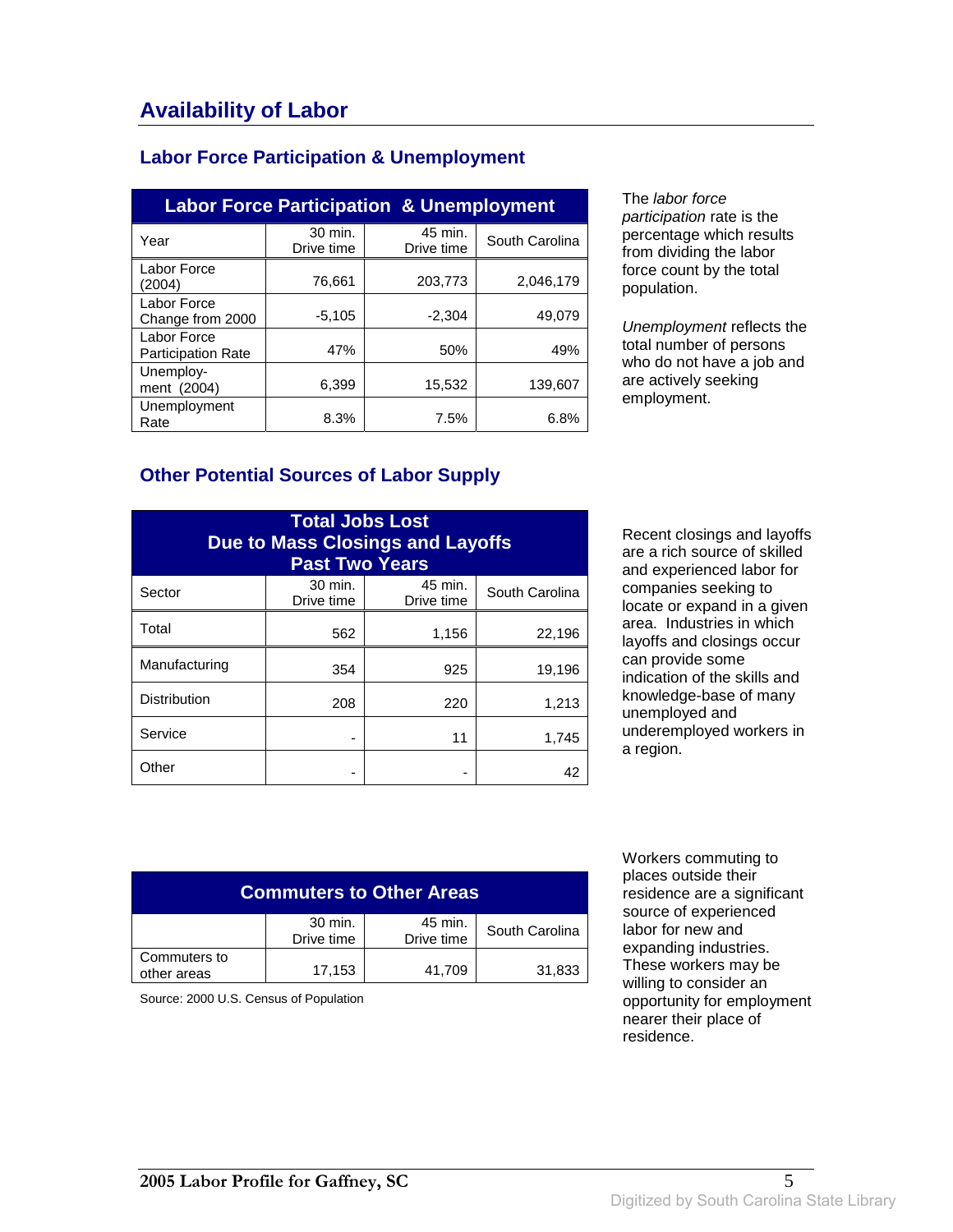### **Labor Force Participation & Unemployment**

| <b>Labor Force Participation &amp; Unemployment</b> |                       |                       |                |  |
|-----------------------------------------------------|-----------------------|-----------------------|----------------|--|
| Year                                                | 30 min.<br>Drive time | 45 min.<br>Drive time | South Carolina |  |
| Labor Force<br>(2004)                               | 76,661                | 203,773               | 2,046,179      |  |
| Labor Force<br>Change from 2000                     | $-5,105$              | $-2.304$              | 49,079         |  |
| Labor Force<br><b>Participation Rate</b>            | 47%                   | 50%                   | 49%            |  |
| Unemploy-<br>ment (2004)                            | 6,399                 | 15,532                | 139.607        |  |
| Unemployment<br>Rate                                | 8.3%                  | 7.5%                  | 6.8%           |  |

The labor force participation rate is the percentage which results from dividing the labor force count by the total population.

Unemployment reflects the total number of persons who do not have a job and are actively seeking employment.

#### **Other Potential Sources of Labor Supply**

| <b>Total Jobs Lost</b><br>Due to Mass Closings and Layoffs<br><b>Past Two Years</b> |                       |                       |                |
|-------------------------------------------------------------------------------------|-----------------------|-----------------------|----------------|
| Sector                                                                              | 30 min.<br>Drive time | 45 min.<br>Drive time | South Carolina |
| Total                                                                               | 562                   | 1,156                 | 22,196         |
| Manufacturing                                                                       | 354                   | 925                   | 19,196         |
| <b>Distribution</b>                                                                 | 208                   | 220                   | 1,213          |
| Service                                                                             |                       | 11                    | 1,745          |
| Other                                                                               |                       |                       | 42             |

Recent closings and layoffs are a rich source of skilled and experienced labor for companies seeking to locate or expand in a given area. Industries in which layoffs and closings occur can provide some indication of the skills and knowledge-base of many unemployed and underemployed workers in a region.

| <b>Commuters to Other Areas</b> |                       |                       |                |
|---------------------------------|-----------------------|-----------------------|----------------|
|                                 | 30 min.<br>Drive time | 45 min.<br>Drive time | South Carolina |
| Commuters to<br>other areas     | 17,153                | 41,709                | 31,833         |

Source: 2000 U.S. Census of Population

 Workers commuting to places outside their residence are a significant source of experienced labor for new and expanding industries. These workers may be willing to consider an opportunity for employment nearer their place of residence.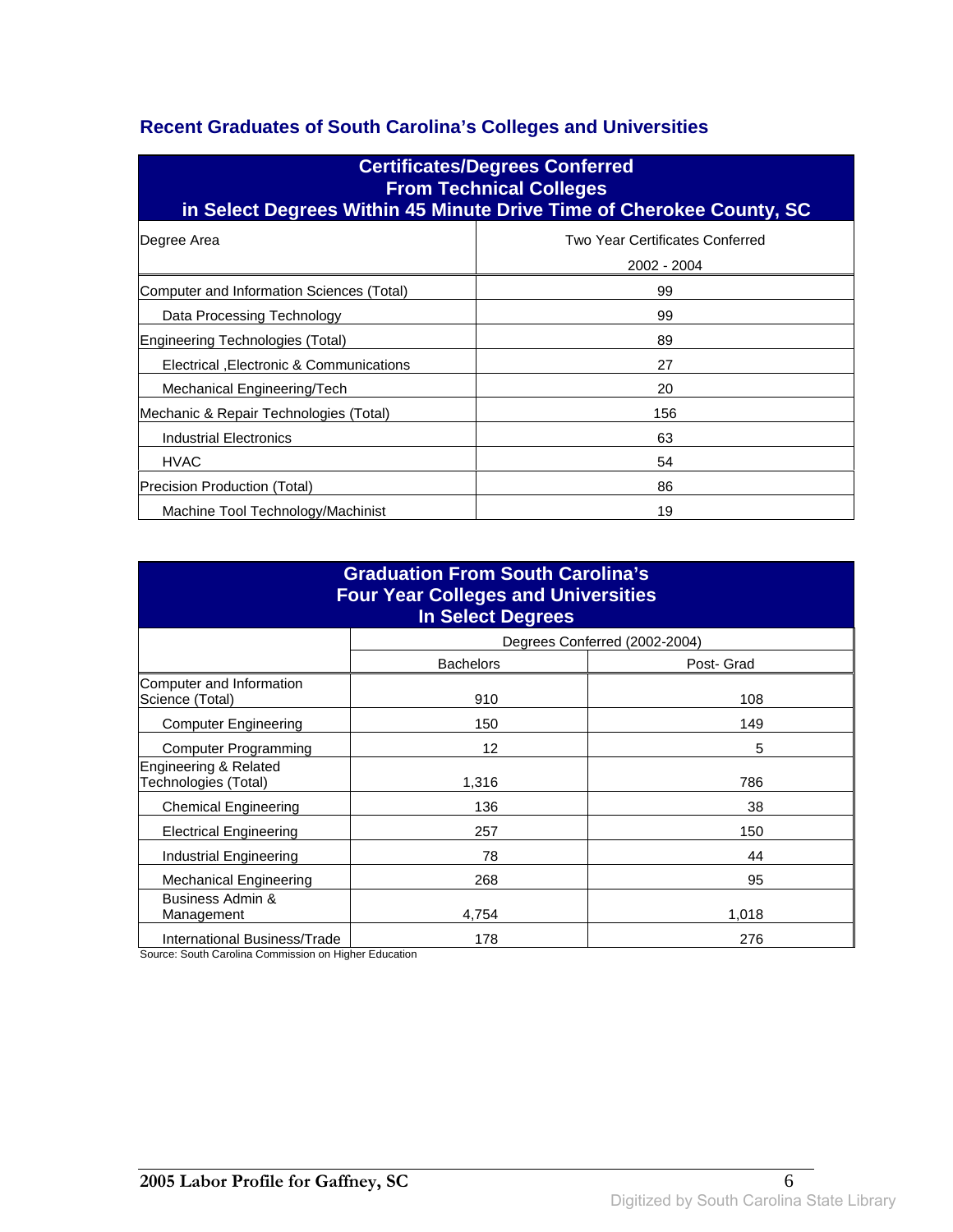### **Recent Graduates of South Carolina's Colleges and Universities**

| <b>Certificates/Degrees Conferred</b><br><b>From Technical Colleges</b><br>in Select Degrees Within 45 Minute Drive Time of Cherokee County, SC |                                                |  |  |
|-------------------------------------------------------------------------------------------------------------------------------------------------|------------------------------------------------|--|--|
| Degree Area                                                                                                                                     | Two Year Certificates Conferred<br>2002 - 2004 |  |  |
| Computer and Information Sciences (Total)                                                                                                       | 99                                             |  |  |
| Data Processing Technology                                                                                                                      | 99                                             |  |  |
| Engineering Technologies (Total)                                                                                                                | 89                                             |  |  |
| Electrical , Electronic & Communications                                                                                                        | 27                                             |  |  |
| Mechanical Engineering/Tech                                                                                                                     | 20                                             |  |  |
| Mechanic & Repair Technologies (Total)                                                                                                          | 156                                            |  |  |
| Industrial Electronics                                                                                                                          | 63                                             |  |  |
| <b>HVAC</b>                                                                                                                                     | 54                                             |  |  |
| Precision Production (Total)                                                                                                                    | 86                                             |  |  |
| Machine Tool Technology/Machinist                                                                                                               | 19                                             |  |  |

| <b>Graduation From South Carolina's</b><br><b>Four Year Colleges and Universities</b><br><b>In Select Degrees</b> |                  |                               |  |
|-------------------------------------------------------------------------------------------------------------------|------------------|-------------------------------|--|
|                                                                                                                   |                  | Degrees Conferred (2002-2004) |  |
|                                                                                                                   | <b>Bachelors</b> | Post- Grad                    |  |
| Computer and Information<br>Science (Total)                                                                       | 910              | 108                           |  |
| <b>Computer Engineering</b>                                                                                       | 150              | 149                           |  |
| <b>Computer Programming</b>                                                                                       | 12               | 5                             |  |
| Engineering & Related<br>Technologies (Total)                                                                     | 1,316            | 786                           |  |
| <b>Chemical Engineering</b>                                                                                       | 136              | 38                            |  |
| <b>Electrical Engineering</b>                                                                                     | 257              | 150                           |  |
| Industrial Engineering                                                                                            | 78               | 44                            |  |
| <b>Mechanical Engineering</b>                                                                                     | 268              | 95                            |  |
| Business Admin &<br>Management                                                                                    | 4.754            | 1,018                         |  |
| International Business/Trade                                                                                      | 178              | 276                           |  |

Source: South Carolina Commission on Higher Education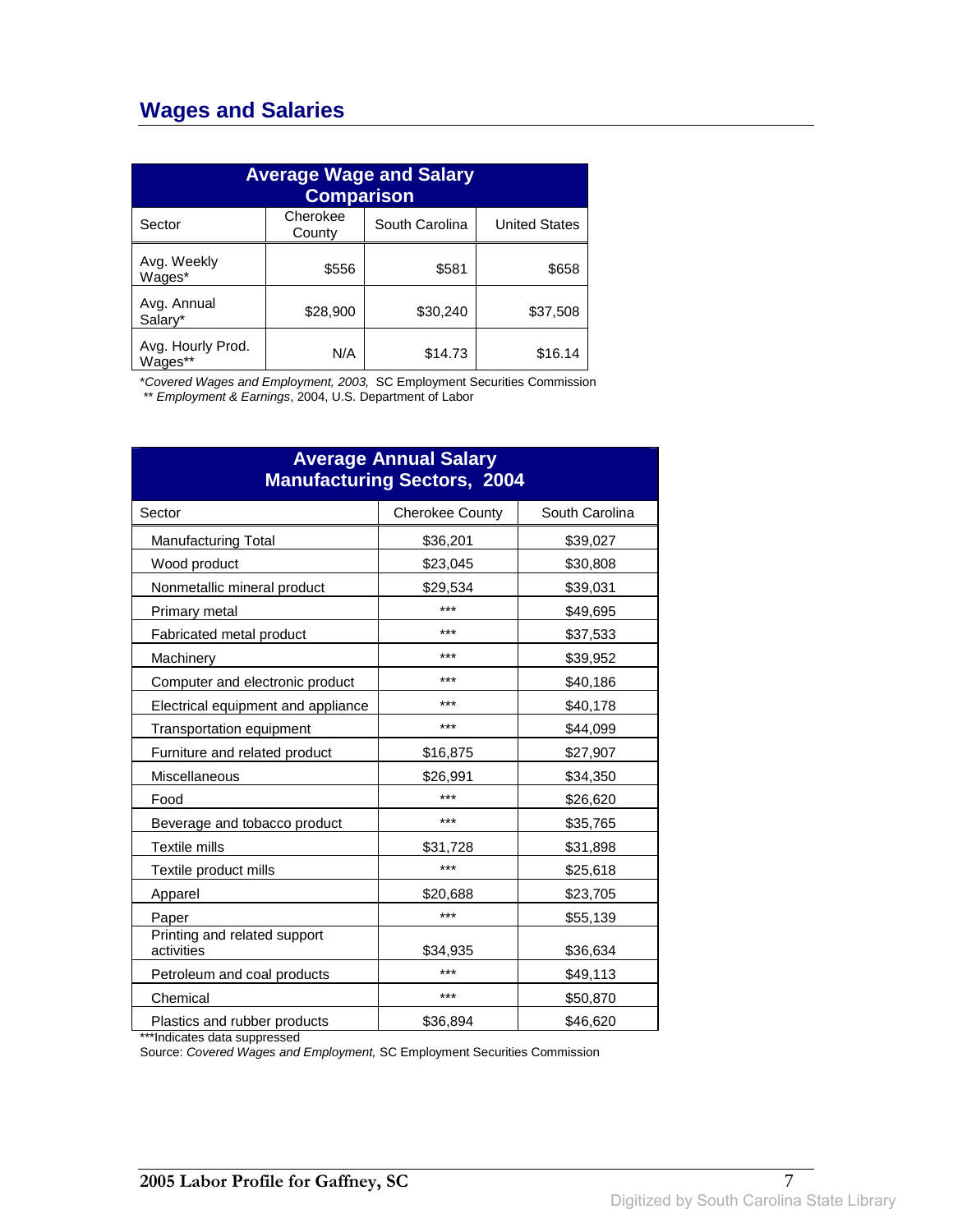## **Wages and Salaries**

| <b>Average Wage and Salary</b><br><b>Comparison</b> |                    |                |                      |
|-----------------------------------------------------|--------------------|----------------|----------------------|
| Sector                                              | Cherokee<br>County | South Carolina | <b>United States</b> |
| Avg. Weekly<br>Wages*                               | \$556              | \$581          | \$658                |
| Avg. Annual<br>Salary*                              | \$28,900           | \$30,240       | \$37,508             |
| Avg. Hourly Prod.<br>Wages**                        | N/A                | \$14.73        | \$16.14              |

\*Covered Wages and Employment, 2003, SC Employment Securities Commission

\*\* Employment & Earnings, 2004, U.S. Department of Labor

| <b>Average Annual Salary</b><br><b>Manufacturing Sectors, 2004</b> |                        |                |  |
|--------------------------------------------------------------------|------------------------|----------------|--|
| Sector                                                             | <b>Cherokee County</b> | South Carolina |  |
| <b>Manufacturing Total</b>                                         | \$36,201               | \$39,027       |  |
| Wood product                                                       | \$23,045               | \$30,808       |  |
| Nonmetallic mineral product                                        | \$29,534               | \$39,031       |  |
| Primary metal                                                      | ***                    | \$49,695       |  |
| Fabricated metal product                                           | ***                    | \$37,533       |  |
| Machinery                                                          | ***                    | \$39,952       |  |
| Computer and electronic product                                    | ***                    | \$40,186       |  |
| Electrical equipment and appliance                                 | ***                    | \$40,178       |  |
| Transportation equipment                                           | ***                    | \$44,099       |  |
| Furniture and related product                                      | \$16,875               | \$27,907       |  |
| Miscellaneous                                                      | \$26,991               | \$34,350       |  |
| Food                                                               | ***                    | \$26,620       |  |
| Beverage and tobacco product                                       | ***                    | \$35,765       |  |
| <b>Textile mills</b>                                               | \$31,728               | \$31,898       |  |
| Textile product mills                                              | ***                    | \$25,618       |  |
| Apparel                                                            | \$20,688               | \$23,705       |  |
| Paper                                                              | ***                    | \$55,139       |  |
| Printing and related support<br>activities                         | \$34,935               | \$36,634       |  |
| Petroleum and coal products                                        | ***                    | \$49,113       |  |
| Chemical                                                           | ***                    | \$50,870       |  |
| Plastics and rubber products                                       | \$36,894               | \$46,620       |  |

\*\*\*Indicates data suppressed

Source: Covered Wages and Employment, SC Employment Securities Commission